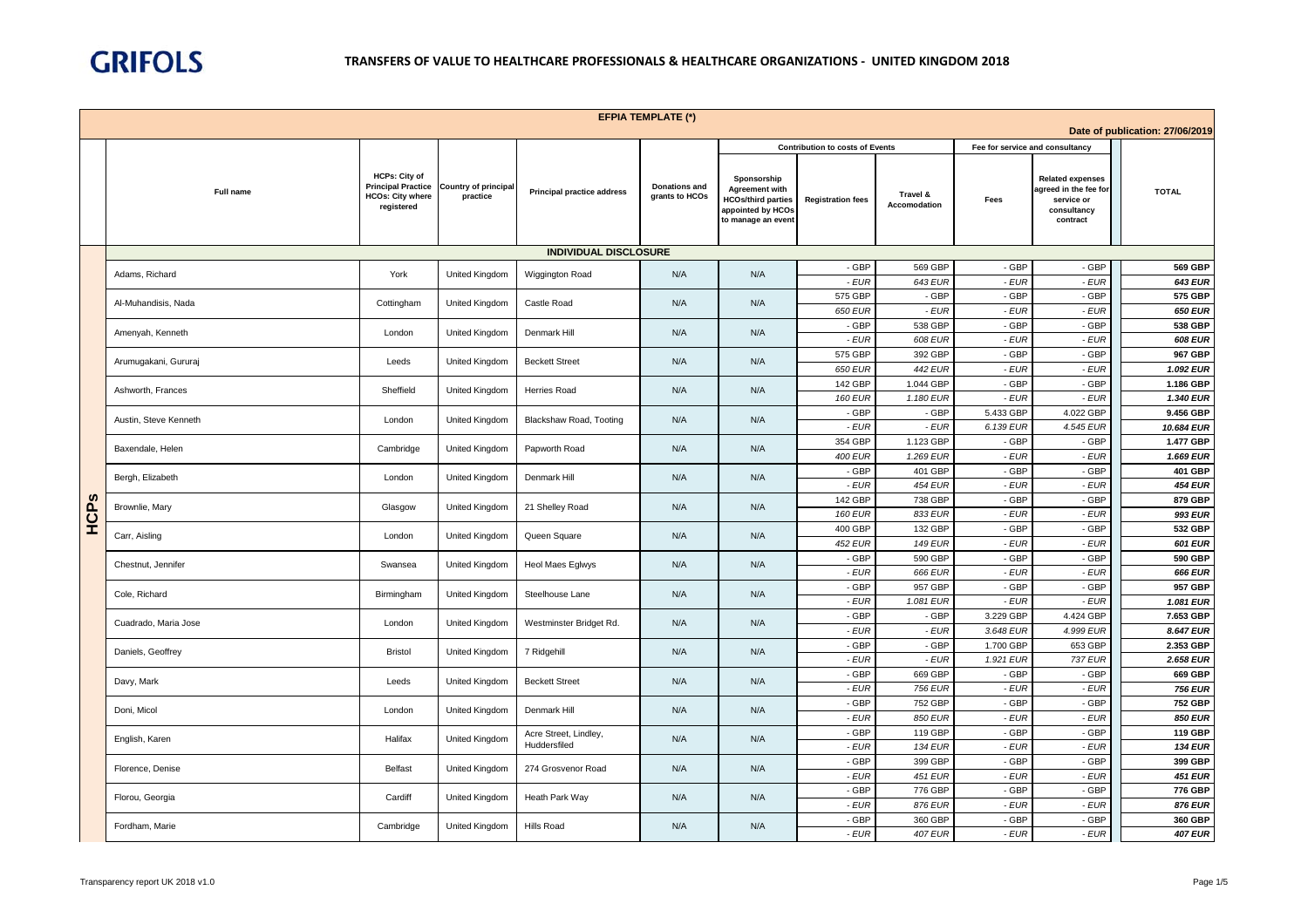

|      |                       |                                                                                            |                                         |                                   | <b>EFPIA TEMPLATE (*)</b>              |                                                                                                              |                                        |                                 |                                 |                                                                                           |                                 |
|------|-----------------------|--------------------------------------------------------------------------------------------|-----------------------------------------|-----------------------------------|----------------------------------------|--------------------------------------------------------------------------------------------------------------|----------------------------------------|---------------------------------|---------------------------------|-------------------------------------------------------------------------------------------|---------------------------------|
|      |                       |                                                                                            |                                         |                                   |                                        |                                                                                                              |                                        |                                 |                                 |                                                                                           | Date of publication: 27/06/2019 |
|      |                       |                                                                                            |                                         |                                   |                                        |                                                                                                              | <b>Contribution to costs of Events</b> |                                 | Fee for service and consultancy |                                                                                           |                                 |
|      | Full name             | <b>HCPs: City of</b><br><b>Principal Practice</b><br><b>HCOs: City where</b><br>registered | <b>Country of principal</b><br>practice | <b>Principal practice address</b> | <b>Donations and</b><br>grants to HCOs | Sponsorship<br><b>Agreement with</b><br><b>HCOs/third parties</b><br>appointed by HCOs<br>to manage an event | <b>Registration fees</b>               | Travel &<br><b>Accomodation</b> | Fees                            | <b>Related expenses</b><br>agreed in the fee for<br>service or<br>consultancy<br>contract | <b>TOTAL</b>                    |
|      |                       |                                                                                            |                                         | <b>INDIVIDUAL DISCLOSURE</b>      |                                        |                                                                                                              |                                        |                                 |                                 |                                                                                           |                                 |
|      | Adams, Richard        | York                                                                                       | <b>United Kingdom</b>                   | Wiggington Road                   | N/A                                    | N/A                                                                                                          | - GBP                                  | 569 GBP                         | - GBP                           | - GBP                                                                                     | 569 GBP                         |
|      |                       |                                                                                            |                                         |                                   |                                        |                                                                                                              | - EUR                                  | 643 EUR                         | $-EUR$                          | $-EUR$                                                                                    | <b>643 EUR</b>                  |
|      | Al-Muhandisis, Nada   | Cottingham                                                                                 | United Kingdom                          | Castle Road                       | N/A                                    | N/A                                                                                                          | 575 GBF                                | - GBP                           | - GBP                           | - GBP                                                                                     | 575 GBP                         |
|      |                       |                                                                                            |                                         |                                   |                                        |                                                                                                              | <b>650 EUR</b>                         | - EUR                           | $-EUR$                          | $-EUR$                                                                                    | <b>650 EUR</b>                  |
|      | Amenyah, Kenneth      | London                                                                                     | United Kingdom                          | Denmark Hill                      | N/A                                    | N/A                                                                                                          | - GBP                                  | 538 GBP                         | - GBP                           | - GBP                                                                                     | 538 GBP                         |
|      |                       |                                                                                            |                                         |                                   |                                        |                                                                                                              | - EUR                                  | 608 EUR                         | $-EUR$                          | $-EUR$                                                                                    | <b>608 EUR</b>                  |
|      | Arumugakani, Gururaj  | Leeds                                                                                      | United Kingdom                          | <b>Beckett Street</b>             | N/A                                    | N/A                                                                                                          | 575 GBF<br>650 EUR                     | 392 GBP<br><b>442 EUR</b>       | - GBP<br>$-EUR$                 | - GBP<br>$-EUR$                                                                           | 967 GBP<br>1.092 EUR            |
|      |                       |                                                                                            |                                         |                                   |                                        |                                                                                                              | 142 GBF                                | 1.044 GBP                       | - GBP                           | - GBP                                                                                     | 1.186 GBP                       |
|      | Ashworth, Frances     | Sheffield                                                                                  | United Kingdom                          | Herries Road                      | N/A                                    | N/A                                                                                                          | <b>160 EUR</b>                         | 1.180 EUR                       | - EUR                           | - EUR                                                                                     | 1.340 EUR                       |
|      |                       |                                                                                            |                                         |                                   |                                        |                                                                                                              | - GBP                                  | - GBP                           | 5.433 GBP                       | 4.022 GBP                                                                                 | 9.456 GBP                       |
|      | Austin, Steve Kenneth | London                                                                                     | United Kingdom                          | Blackshaw Road, Tooting           | N/A                                    | N/A                                                                                                          | - EUR                                  | $-EUR$                          | 6.139 EUR                       | 4.545 EUR                                                                                 | 10.684 EUR                      |
|      |                       |                                                                                            |                                         |                                   |                                        |                                                                                                              | 354 GBP                                | 1.123 GBP                       | - GBP                           | - GBP                                                                                     | 1.477 GBP                       |
|      | Baxendale, Helen      | Cambridge                                                                                  | United Kingdom                          | Papworth Road                     | N/A                                    | N/A                                                                                                          | <b>400 EUR</b>                         | 1.269 EUR                       | - EUR                           | $-EUR$                                                                                    | 1.669 EUR                       |
|      |                       |                                                                                            |                                         |                                   |                                        |                                                                                                              | - GBP                                  | 401 GBP                         | - GBP                           | - GBP                                                                                     | 401 GBP                         |
|      | Bergh, Elizabeth      | London                                                                                     | United Kingdom                          | Denmark Hill                      | N/A                                    | N/A                                                                                                          | - EUR                                  | <b>454 EUR</b>                  | $-EUR$                          | $-EUR$                                                                                    | <b>454 EUR</b>                  |
|      | Brownlie, Mary        | Glasgow                                                                                    | United Kingdom                          | 21 Shelley Road                   | N/A                                    | N/A                                                                                                          | 142 GBP                                | 738 GBP                         | - GBP                           | - GBP                                                                                     | 879 GBP                         |
| HCPS |                       |                                                                                            |                                         |                                   |                                        |                                                                                                              | <b>160 EUR</b>                         | 833 EUR                         | $-EUR$                          | $-EUR$                                                                                    | 993 EUR                         |
|      | Carr, Aisling         | London                                                                                     | United Kingdom                          | Queen Square                      | N/A                                    | N/A                                                                                                          | 400 GBP                                | 132 GBP                         | - GBP                           | - GBP                                                                                     | 532 GBP                         |
|      |                       |                                                                                            |                                         |                                   |                                        |                                                                                                              | <b>452 EUR</b>                         | <b>149 EUR</b>                  | $-EUR$                          | $-EUR$                                                                                    | 601 EUR                         |
|      | Chestnut, Jennifer    | Swansea                                                                                    | United Kingdom                          | Heol Maes Eglwys                  | N/A                                    | N/A                                                                                                          | - GBP                                  | 590 GBP                         | - GBP                           | - GBP                                                                                     | 590 GBP                         |
|      |                       |                                                                                            |                                         |                                   |                                        |                                                                                                              | $-EUR$<br>- GBP                        | 666 EUR<br>957 GBP              | $-EUR$<br>- GBP                 | $-EUR$<br>- GBP                                                                           | 666 EUR<br>957 GBP              |
|      | Cole, Richard         | Birmingham                                                                                 | United Kingdom                          | Steelhouse Lane                   | N/A                                    | N/A                                                                                                          | $-EUR$                                 | 1.081 EUR                       | $-EUR$                          | $-EUR$                                                                                    | 1.081 EUR                       |
|      |                       |                                                                                            |                                         |                                   |                                        |                                                                                                              | - GBP                                  | - GBP                           | 3.229 GBP                       | 4.424 GBP                                                                                 | 7.653 GBP                       |
|      | Cuadrado, Maria Jose  | London                                                                                     | United Kingdom                          | Westminster Bridget Rd.           | N/A                                    | N/A                                                                                                          | - EUR                                  | $-EUR$                          | 3.648 EUR                       | 4.999 EUR                                                                                 | 8.647 EUR                       |
|      |                       |                                                                                            |                                         |                                   |                                        |                                                                                                              | - GBP                                  | - GBP                           | 1.700 GBP                       | 653 GBP                                                                                   | 2.353 GBP                       |
|      | Daniels, Geoffrey     | <b>Bristol</b>                                                                             | United Kingdom                          | 7 Ridgehill                       | N/A                                    | N/A                                                                                                          | $-EUR$                                 | $-EUR$                          | 1.921 EUR                       | <b>737 EUR</b>                                                                            | 2.658 EUR                       |
|      |                       |                                                                                            |                                         |                                   |                                        |                                                                                                              | - GBP                                  | 669 GBP                         | - GBP                           | - GBP                                                                                     | 669 GBP                         |
|      | Davy, Mark            | Leeds                                                                                      | United Kingdom                          | <b>Beckett Street</b>             | N/A                                    | N/A                                                                                                          | $-EUR$                                 | 756 EUR                         | $-EUR$                          | $-EUR$                                                                                    | <b>756 EUR</b>                  |
|      | Doni, Micol           | London                                                                                     | United Kingdom                          | Denmark Hill                      | N/A                                    | N/A                                                                                                          | - GBP                                  | 752 GBP                         | - GBP                           | - GBP                                                                                     | <b>752 GBP</b>                  |
|      |                       |                                                                                            |                                         |                                   |                                        |                                                                                                              | - EUR                                  | 850 EUR                         | - EUR                           | $-EUR$                                                                                    | <b>850 EUR</b>                  |
|      | English, Karen        | Halifax                                                                                    | United Kingdom                          | Acre Street, Lindley,             | N/A                                    | N/A                                                                                                          | - GBP                                  | 119 GBP                         | - GBP                           | - GBP                                                                                     | 119 GBP                         |
|      |                       |                                                                                            |                                         | Huddersfiled                      |                                        |                                                                                                              | - EUR                                  | <b>134 EUR</b>                  | - EUR                           | $-EUR$                                                                                    | <b>134 EUR</b>                  |
|      | Florence, Denise      | Belfast                                                                                    | United Kingdom                          | 274 Grosvenor Road                | N/A                                    | N/A                                                                                                          | - GBP                                  | 399 GBP                         | - GBP                           | - GBP                                                                                     | 399 GBP                         |
|      |                       |                                                                                            |                                         |                                   |                                        |                                                                                                              | - EUR                                  | <b>451 EUR</b>                  | - EUR                           | - EUR                                                                                     | <b>451 EUR</b>                  |
|      | Florou, Georgia       | Cardiff                                                                                    | United Kingdom                          | Heath Park Way                    | N/A                                    | N/A                                                                                                          | - GBP<br>- EUR                         | 776 GBF<br><b>876 EUR</b>       | - GBP<br>$-EUR$                 | - GBP<br>$-EUR$                                                                           | 776 GBP<br><b>876 EUR</b>       |
|      |                       |                                                                                            |                                         |                                   |                                        |                                                                                                              | - GBP                                  | 360 GBP                         | - GBP                           | - GBP                                                                                     | 360 GBP                         |
|      | Fordham, Marie        | Cambridge                                                                                  | United Kingdom                          | <b>Hills Road</b>                 | N/A                                    | N/A                                                                                                          | - EUR                                  | <b>407 EUR</b>                  | - EUR                           | $-EUR$                                                                                    | <b>407 EUR</b>                  |
|      |                       |                                                                                            |                                         |                                   |                                        |                                                                                                              |                                        |                                 |                                 |                                                                                           |                                 |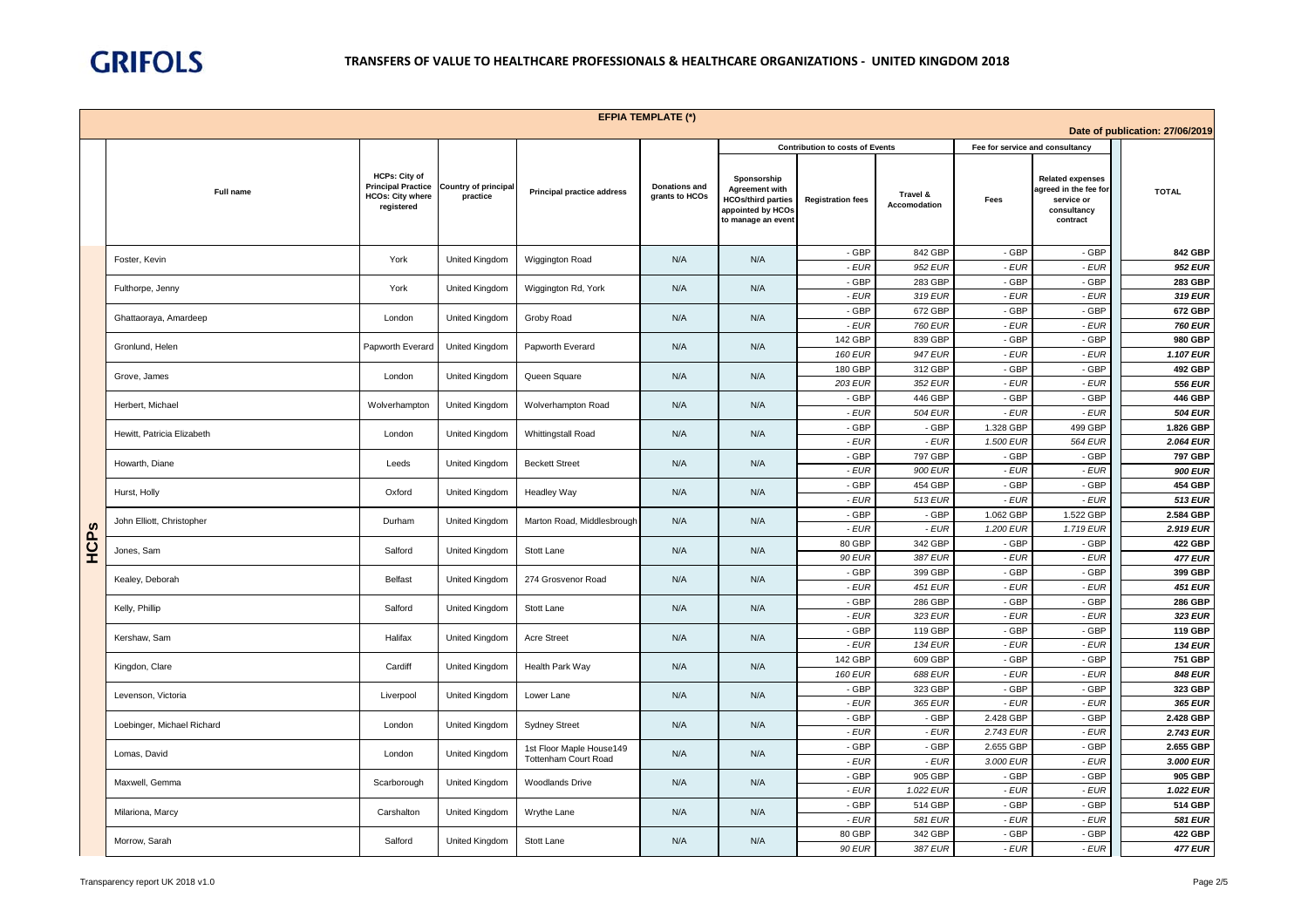

|      |                            |                                                                                     |                                         |                                   | <b>EFPIA TEMPLATE (*)</b>              |                                                                                                              |                                        |                           |                                 |                                                                                           |                                 |
|------|----------------------------|-------------------------------------------------------------------------------------|-----------------------------------------|-----------------------------------|----------------------------------------|--------------------------------------------------------------------------------------------------------------|----------------------------------------|---------------------------|---------------------------------|-------------------------------------------------------------------------------------------|---------------------------------|
|      |                            |                                                                                     |                                         |                                   |                                        |                                                                                                              |                                        |                           |                                 |                                                                                           | Date of publication: 27/06/2019 |
|      |                            |                                                                                     |                                         |                                   |                                        |                                                                                                              | <b>Contribution to costs of Events</b> |                           | Fee for service and consultancy |                                                                                           |                                 |
|      | Full name                  | HCPs: City of<br><b>Principal Practice</b><br><b>HCOs: City where</b><br>registered | <b>Country of principal</b><br>practice | <b>Principal practice address</b> | <b>Donations and</b><br>grants to HCOs | Sponsorship<br><b>Agreement with</b><br><b>HCOs/third parties</b><br>appointed by HCOs<br>to manage an event | <b>Registration fees</b>               | Travel &<br>Accomodation  | Fees                            | <b>Related expenses</b><br>agreed in the fee for<br>service or<br>consultancy<br>contract | <b>TOTAL</b>                    |
|      | Foster, Kevin              | York                                                                                | United Kingdom                          | Wiggington Road                   | N/A                                    | N/A                                                                                                          | - GBP                                  | 842 GBP                   | - GBP                           | - GBP                                                                                     | 842 GBP                         |
|      |                            |                                                                                     |                                         |                                   |                                        |                                                                                                              | $-EUR$                                 | 952 EUR                   | - EUR                           | $-EUR$                                                                                    | 952 EUR                         |
|      | Fulthorpe, Jenny           | York                                                                                | United Kingdom                          | Wiggington Rd, York               | N/A                                    | N/A                                                                                                          | - GBP                                  | 283 GBP                   | - GBP                           | - GBP                                                                                     | 283 GBP                         |
|      |                            |                                                                                     |                                         |                                   |                                        |                                                                                                              | $-EUR$<br>- GBP                        | 319 EUR<br>672 GBP        | - EUR<br>- GBP                  | $-EUR$<br>- GBP                                                                           | 319 EUR<br>672 GBP              |
|      | Ghattaoraya, Amardeep      | London                                                                              | United Kingdom                          | Groby Road                        | N/A                                    | N/A                                                                                                          | - EUR                                  | <b>760 EUR</b>            | - EUR                           | - EUR                                                                                     | <b>760 EUR</b>                  |
|      |                            |                                                                                     |                                         |                                   |                                        |                                                                                                              | 142 GBP                                | 839 GBP                   | - GBP                           | - GBP                                                                                     | 980 GBP                         |
|      | Gronlund, Helen            | Papworth Everard                                                                    | United Kingdom                          | Papworth Everard                  | N/A                                    | N/A                                                                                                          | <b>160 EUR</b>                         | 947 EUR                   | - EUR                           | $-EUR$                                                                                    | 1.107 EUR                       |
|      | Grove, James               | London                                                                              | United Kingdom                          | Queen Square                      | N/A                                    | N/A                                                                                                          | 180 GBP                                | 312 GBP                   | - GBP                           | - GBP                                                                                     | 492 GBP                         |
|      |                            |                                                                                     |                                         |                                   |                                        |                                                                                                              | 203 EUR                                | 352 EUR                   | - EUR                           | $-EUR$                                                                                    | 556 EUR                         |
|      | Herbert, Michael           | Wolverhampton                                                                       | United Kingdom                          | Wolverhampton Road                | N/A                                    | N/A                                                                                                          | - GBP                                  | 446 GBP                   | - GBP                           | - GBP                                                                                     | 446 GBP                         |
|      |                            |                                                                                     |                                         |                                   |                                        |                                                                                                              | $-EUR$                                 | <b>504 EUR</b>            | $-EUR$                          | $-EUR$                                                                                    | <b>504 EUR</b>                  |
|      | Hewitt, Patricia Elizabeth | London                                                                              | United Kingdom                          | Whittingstall Road                | N/A                                    | N/A                                                                                                          | - GBP<br>$-EUR$                        | - GBP<br>$-EUR$           | 1.328 GBP<br>1.500 EUR          | 499 GBP<br><b>564 EUR</b>                                                                 | 1.826 GBP<br>2.064 EUR          |
|      |                            |                                                                                     |                                         |                                   |                                        |                                                                                                              | - GBP                                  | 797 GBP                   | - GBP                           | - GBP                                                                                     | 797 GBP                         |
|      | Howarth, Diane             | Leeds                                                                               | United Kingdom                          | <b>Beckett Street</b>             | N/A                                    | N/A                                                                                                          | - EUR                                  | 900 EUR                   | - EUR                           | $-EUR$                                                                                    | 900 EUR                         |
|      |                            |                                                                                     |                                         |                                   |                                        |                                                                                                              | - GBP                                  | 454 GBP                   | - GBP                           | - GBP                                                                                     | 454 GBP                         |
|      | Hurst, Holly               | Oxford                                                                              | United Kingdom                          | <b>Headley Way</b>                | N/A                                    | N/A                                                                                                          | $-EUR$                                 | 513 EUR                   | - EUR                           | $-EUR$                                                                                    | 513 EUR                         |
|      | John Elliott, Christopher  | Durham                                                                              | United Kingdom                          | Marton Road, Middlesbrough        | N/A                                    | N/A                                                                                                          | - GBP                                  | - GBP                     | 1.062 GBP                       | 1.522 GBP                                                                                 | 2.584 GBP                       |
|      |                            |                                                                                     |                                         |                                   |                                        |                                                                                                              | - EUR                                  | $-EUR$                    | 1.200 EUR                       | 1.719 EUR                                                                                 | 2.919 EUR                       |
| HCPS | Jones, Sam                 | Salford                                                                             | United Kingdom                          | Stott Lane                        | N/A                                    | N/A                                                                                                          | 80 GBP                                 | 342 GBP                   | - GBP                           | - GBP                                                                                     | 422 GBP                         |
|      |                            |                                                                                     |                                         |                                   |                                        |                                                                                                              | <b>90 EUR</b><br>- GBP                 | 387 EUR                   | - EUR<br>- GBP                  | $-EUR$<br>- GBP                                                                           | <b>477 EUR</b><br>399 GBP       |
|      | Kealey, Deborah            | <b>Belfast</b>                                                                      | United Kingdom                          | 274 Grosvenor Road                | N/A                                    | N/A                                                                                                          | $-EUR$                                 | 399 GBP<br><b>451 EUR</b> | $-EUR$                          | $-EUR$                                                                                    | <b>451 EUR</b>                  |
|      |                            |                                                                                     |                                         |                                   |                                        |                                                                                                              | - GBP                                  | 286 GBP                   | - GBP                           | - GBP                                                                                     | 286 GBP                         |
|      | Kelly, Phillip             | Salford                                                                             | United Kingdom                          | Stott Lane                        | N/A                                    | N/A                                                                                                          | - EUR                                  | 323 EUR                   | - EUR                           | $-EUR$                                                                                    | 323 EUR                         |
|      |                            |                                                                                     |                                         |                                   |                                        |                                                                                                              | - GBP                                  | 119 GBP                   | - GBP                           | - GBP                                                                                     | 119 GBP                         |
|      | Kershaw, Sam               | Halifax                                                                             | United Kingdom                          | <b>Acre Street</b>                | N/A                                    | N/A                                                                                                          | - EUR                                  | <b>134 EUR</b>            | $-EUR$                          | $-EUR$                                                                                    | <b>134 EUR</b>                  |
|      | Kingdon, Clare             | Cardiff                                                                             | United Kingdom                          | Health Park Way                   | N/A                                    | N/A                                                                                                          | 142 GBP                                | 609 GBP                   | - GBP                           | - GBP                                                                                     | 751 GBP                         |
|      |                            |                                                                                     |                                         |                                   |                                        |                                                                                                              | <b>160 EUR</b>                         | <b>688 EUR</b>            | - EUR                           | $-EUR$                                                                                    | <b>848 EUR</b>                  |
|      | Levenson, Victoria         | Liverpool                                                                           | United Kingdom                          | Lower Lane                        | N/A                                    | N/A                                                                                                          | - GBP                                  | 323 GBP                   | - GBP                           | - GBP                                                                                     | 323 GBP<br>365 EUR              |
|      |                            |                                                                                     |                                         |                                   |                                        |                                                                                                              | - EUR<br>- GBP                         | 365 EUR<br>- GBP          | - EUR<br>2.428 GBP              | $-EUR$<br>- GBP                                                                           | 2.428 GBP                       |
|      | Loebinger, Michael Richard | London                                                                              | <b>United Kingdom</b>                   | <b>Sydney Street</b>              | N/A                                    | N/A                                                                                                          | - EUR                                  | - EUR                     | 2.743 EUR                       | - EUR                                                                                     | 2.743 EUR                       |
|      |                            |                                                                                     |                                         | 1st Floor Maple House149          |                                        |                                                                                                              | - GBP                                  | - GBP                     | 2.655 GBP                       | - GBP                                                                                     | 2.655 GBP                       |
|      | Lomas, David               | London                                                                              | United Kingdom                          | <b>Tottenham Court Road</b>       | N/A                                    | N/A                                                                                                          | - EUR                                  | - EUR                     | 3.000 EUR                       | $-EUR$                                                                                    | 3.000 EUR                       |
|      | Maxwell, Gemma             | Scarborough                                                                         | United Kingdom                          | Woodlands Drive                   | N/A                                    | N/A                                                                                                          | - GBP                                  | 905 GBP                   | - GBP                           | - GBP                                                                                     | 905 GBP                         |
|      |                            |                                                                                     |                                         |                                   |                                        |                                                                                                              | - EUR                                  | 1.022 EUR                 | - EUR                           | $-EUR$                                                                                    | 1.022 EUR                       |
|      | Milariona, Marcy           | Carshalton                                                                          | United Kingdom                          | Wrythe Lane                       | N/A                                    | N/A                                                                                                          | - GBP                                  | 514 GBP                   | - GBP                           | - GBP                                                                                     | 514 GBP                         |
|      |                            |                                                                                     |                                         |                                   |                                        |                                                                                                              | $-EUR$                                 | 581 EUR                   | - EUR                           | $-EUR$                                                                                    | <b>581 EUR</b>                  |
|      | Morrow, Sarah              | Salford                                                                             | United Kingdom                          | Stott Lane                        | N/A                                    | N/A                                                                                                          | 80 GBP<br><b>90 EUR</b>                | 342 GBP<br>387 EUR        | - GBP<br>- EUR                  | - GBP<br>$-EUR$                                                                           | 422 GBP<br><b>477 EUR</b>       |
|      |                            |                                                                                     |                                         |                                   |                                        |                                                                                                              |                                        |                           |                                 |                                                                                           |                                 |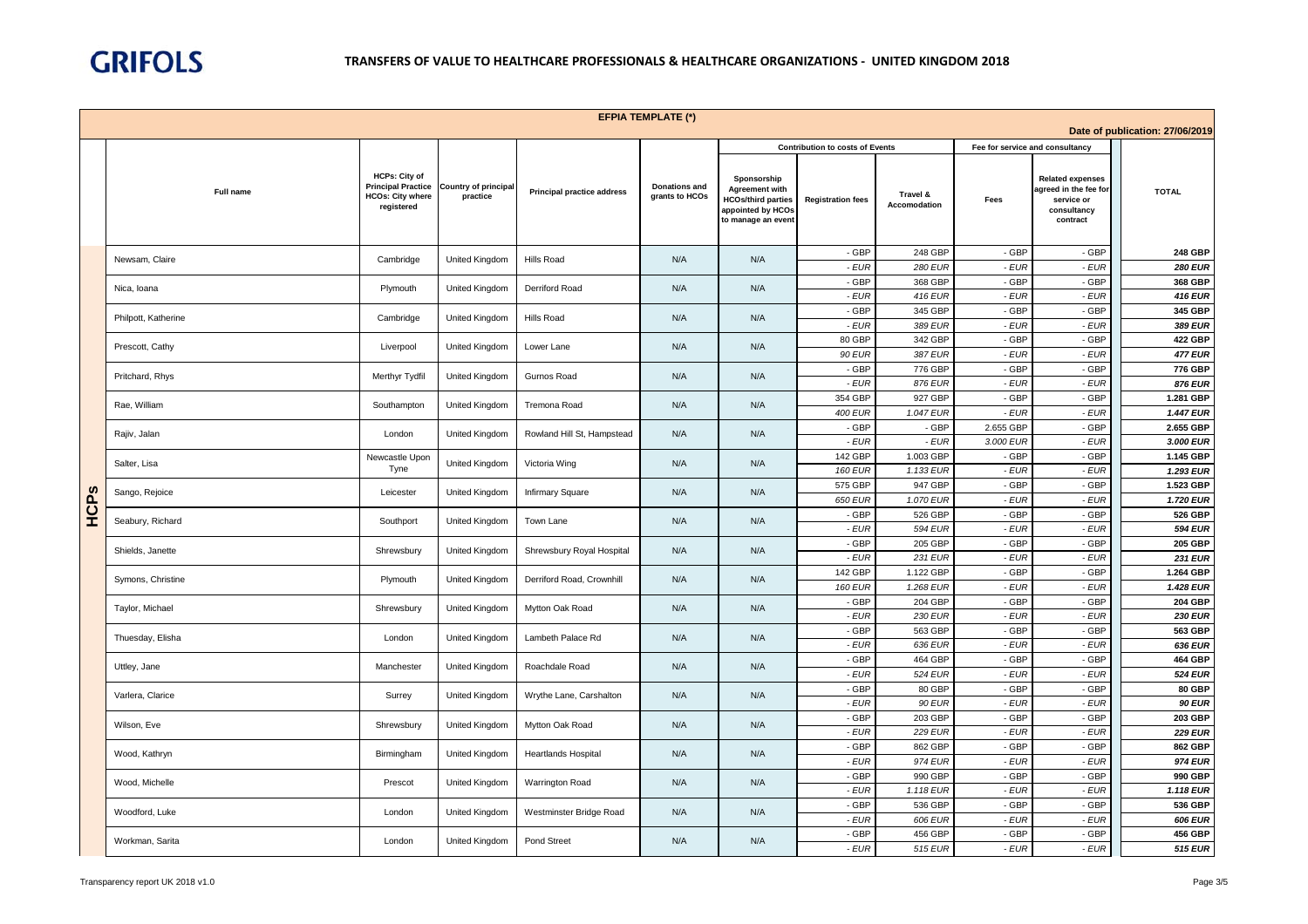

|      |                     |                                                                                            |                                         |                                   | <b>EFPIA TEMPLATE (*)</b>              |                                                                                                              |                                        |                             |                                 |                                                                                           |                                 |
|------|---------------------|--------------------------------------------------------------------------------------------|-----------------------------------------|-----------------------------------|----------------------------------------|--------------------------------------------------------------------------------------------------------------|----------------------------------------|-----------------------------|---------------------------------|-------------------------------------------------------------------------------------------|---------------------------------|
|      |                     |                                                                                            |                                         |                                   |                                        |                                                                                                              |                                        |                             |                                 |                                                                                           | Date of publication: 27/06/2019 |
|      |                     |                                                                                            |                                         |                                   |                                        |                                                                                                              | <b>Contribution to costs of Events</b> |                             | Fee for service and consultancy |                                                                                           |                                 |
|      | Full name           | <b>HCPs: City of</b><br><b>Principal Practice</b><br><b>HCOs: City where</b><br>registered | <b>Country of principal</b><br>practice | <b>Principal practice address</b> | <b>Donations and</b><br>grants to HCOs | Sponsorship<br><b>Agreement with</b><br><b>HCOs/third parties</b><br>appointed by HCOs<br>to manage an event | <b>Registration fees</b>               | Travel &<br>Accomodation    | Fees                            | <b>Related expenses</b><br>agreed in the fee for<br>service or<br>consultancy<br>contract | <b>TOTAL</b>                    |
|      | Newsam, Claire      | Cambridge                                                                                  | United Kingdom                          | <b>Hills Road</b>                 | N/A                                    | N/A                                                                                                          | - GBP                                  | 248 GBP                     | - GBP                           | - GBP                                                                                     | 248 GBP                         |
|      |                     |                                                                                            |                                         |                                   |                                        |                                                                                                              | - EUR                                  | <b>280 EUR</b>              | - EUR                           | $-EUR$                                                                                    | <b>280 EUR</b>                  |
|      | Nica, Ioana         | Plymouth                                                                                   | United Kingdom                          | Derriford Road                    | N/A                                    | N/A                                                                                                          | - GBP<br>$-EUR$                        | 368 GBP<br><b>416 EUR</b>   | - GBP<br>- EUR                  | - GBP<br>$-EUR$                                                                           | 368 GBP<br><b>416 EUR</b>       |
|      |                     |                                                                                            |                                         |                                   |                                        |                                                                                                              | - GBP                                  | 345 GBP                     | - GBP                           | - GBP                                                                                     | 345 GBP                         |
|      | Philpott, Katherine | Cambridge                                                                                  | United Kingdom                          | <b>Hills Road</b>                 | N/A                                    | N/A                                                                                                          | - EUR                                  | 389 EUR                     | - EUR                           | $-EUR$                                                                                    | 389 EUR                         |
|      | Prescott, Cathy     | Liverpool                                                                                  | United Kingdom                          | Lower Lane                        | N/A                                    | N/A                                                                                                          | 80 GBP                                 | 342 GBP                     | - GBP                           | - GBP                                                                                     | 422 GBP                         |
|      |                     |                                                                                            |                                         |                                   |                                        |                                                                                                              | 90 EUR                                 | 387 EUR                     | - EUR                           | - EUR                                                                                     | <b>477 EUR</b>                  |
|      | Pritchard, Rhys     | Merthyr Tydfil                                                                             | United Kingdom                          | Gurnos Road                       | N/A                                    | N/A                                                                                                          | - GBP<br>$-EUR$                        | 776 GBP<br>876 EUR          | - GBP<br>- EUR                  | - GBP<br>$-EUR$                                                                           | 776 GBP<br>876 EUR              |
|      |                     |                                                                                            |                                         |                                   |                                        |                                                                                                              | 354 GBP                                | 927 GBP                     | - GBP                           | - GBP                                                                                     | 1.281 GBP                       |
|      | Rae, William        | Southampton                                                                                | United Kingdom                          | Tremona Road                      | N/A                                    | N/A                                                                                                          | <b>400 EUR</b>                         | 1.047 EUR                   | - EUR                           | $-EUR$                                                                                    | <b>1.447 EUR</b>                |
|      | Rajiv, Jalan        | London                                                                                     | United Kingdom                          | Rowland Hill St, Hampstead        | N/A                                    | N/A                                                                                                          | - GBP                                  | - GBP                       | 2.655 GBP                       | - GBP                                                                                     | 2.655 GBP                       |
|      |                     |                                                                                            |                                         |                                   |                                        |                                                                                                              | $-EUR$                                 | $-EUR$                      | 3.000 EUR                       | $-EUR$                                                                                    | 3.000 EUR                       |
|      | Salter, Lisa        | Newcastle Upon<br>Tyne                                                                     | United Kingdom                          | Victoria Wing                     | N/A                                    | N/A                                                                                                          | 142 GBP                                | 1.003 GBP                   | - GBP                           | - GBP                                                                                     | 1.145 GBP                       |
|      |                     |                                                                                            |                                         |                                   |                                        |                                                                                                              | <b>160 EUR</b><br>575 GBP              | 1.133 EUR<br>947 GBP        | - EUR<br>- GBP                  | $-EUR$<br>- GBP                                                                           | 1.293 EUR<br>1.523 GBP          |
|      | Sango, Rejoice      | Leicester                                                                                  | United Kingdom                          | Infirmary Square                  | N/A                                    | N/A                                                                                                          | 650 EUR                                | 1.070 EUR                   | - EUR                           | $-EUR$                                                                                    | 1.720 EUR                       |
| HCPS | Seabury, Richard    | Southport                                                                                  | United Kingdom                          | Town Lane                         | N/A                                    | N/A                                                                                                          | - GBP                                  | 526 GBP                     | - GBP                           | - GBP                                                                                     | 526 GBP                         |
|      |                     |                                                                                            |                                         |                                   |                                        |                                                                                                              | $-EUR$                                 | <b>594 EUR</b>              | - EUR                           | $-EUR$                                                                                    | <b>594 EUR</b>                  |
|      | Shields, Janette    | Shrewsbury                                                                                 | United Kingdom                          | Shrewsbury Royal Hospital         | N/A                                    | N/A                                                                                                          | - GBP                                  | 205 GBP                     | - GBP                           | - GBP                                                                                     | 205 GBP                         |
|      |                     |                                                                                            |                                         |                                   |                                        |                                                                                                              | - EUR<br>142 GBP                       | <b>231 EUR</b><br>1.122 GBP | - EUR<br>- GBP                  | $-EUR$<br>- GBP                                                                           | <b>231 EUR</b><br>1.264 GBP     |
|      | Symons, Christine   | Plymouth                                                                                   | United Kingdom                          | Derriford Road, Crownhill         | N/A                                    | N/A                                                                                                          | <b>160 EUR</b>                         | 1.268 EUR                   | - EUR                           | $-EUR$                                                                                    | 1.428 EUR                       |
|      |                     |                                                                                            |                                         |                                   |                                        |                                                                                                              | - GBP                                  | 204 GBP                     | - GBP                           | - GBP                                                                                     | 204 GBP                         |
|      | Taylor, Michael     | Shrewsbury                                                                                 | United Kingdom                          | Mytton Oak Road                   | N/A                                    | N/A                                                                                                          | $-EUR$                                 | <b>230 EUR</b>              | - EUR                           | $-EUR$                                                                                    | <b>230 EUR</b>                  |
|      | Thuesday, Elisha    | London                                                                                     | <b>United Kingdom</b>                   | Lambeth Palace Rd                 | N/A                                    | N/A                                                                                                          | - GBP                                  | 563 GBP                     | - GBP                           | - GBP                                                                                     | 563 GBP                         |
|      |                     |                                                                                            |                                         |                                   |                                        |                                                                                                              | - EUR<br>- GBP                         | 636 EUR                     | - EUR<br>- GBP                  | $-EUR$<br>- GBP                                                                           | 636 EUR                         |
|      | Uttley, Jane        | Manchester                                                                                 | United Kingdom                          | Roachdale Road                    | N/A                                    | N/A                                                                                                          | - EUR                                  | 464 GBP<br>524 EUR          | - EUR                           | $-EUR$                                                                                    | 464 GBP<br><b>524 EUR</b>       |
|      |                     |                                                                                            |                                         |                                   |                                        |                                                                                                              | - GBP                                  | 80 GBP                      | - GBP                           | - GBP                                                                                     | 80 GBP                          |
|      | Varlera, Clarice    | Surrey                                                                                     | United Kingdom                          | Wrythe Lane, Carshalton           | N/A                                    | N/A                                                                                                          | $-EUR$                                 | <b>90 EUR</b>               | - EUR                           | $-EUR$                                                                                    | <b>90 EUR</b>                   |
|      | Wilson, Eve         | Shrewsbury                                                                                 | United Kingdom                          | Mytton Oak Road                   | N/A                                    | N/A                                                                                                          | - GBP                                  | 203 GBP                     | - GBP                           | - GBP                                                                                     | 203 GBP                         |
|      |                     |                                                                                            |                                         |                                   |                                        |                                                                                                              | - EUR                                  | <b>229 EUR</b>              | - EUR                           | $-EUR$                                                                                    | <b>229 EUR</b>                  |
|      | Wood, Kathryn       | Birmingham                                                                                 | United Kingdom                          | <b>Heartlands Hospital</b>        | N/A                                    | N/A                                                                                                          | - GBP<br>- EUR                         | 862 GBP<br>974 EUR          | - GBP<br>- EUR                  | - GBP<br>$-EUR$                                                                           | 862 GBP<br>974 EUR              |
|      |                     |                                                                                            |                                         |                                   |                                        |                                                                                                              | - GBP                                  | 990 GBP                     | - GBP                           | - GBP                                                                                     | 990 GBP                         |
|      | Wood, Michelle      | Prescot                                                                                    | United Kingdom                          | Warrington Road                   | N/A                                    | N/A                                                                                                          | - EUR                                  | 1.118 EUR                   | - EUR                           | $-EUR$                                                                                    | 1.118 EUR                       |
|      | Woodford, Luke      | London                                                                                     | United Kingdom                          | Westminster Bridge Road           | N/A                                    | N/A                                                                                                          | - GBP                                  | 536 GBP                     | - GBP                           | - GBP                                                                                     | 536 GBP                         |
|      |                     |                                                                                            |                                         |                                   |                                        |                                                                                                              | - EUR                                  | 606 EUR                     | - EUR                           | $-EUR$                                                                                    | 606 EUR                         |
|      | Workman, Sarita     | London                                                                                     | United Kingdom                          | Pond Street                       | N/A                                    | N/A                                                                                                          | - GBP<br>- EUR                         | 456 GBP<br>515 EUR          | - GBP<br>- EUR                  | - GBP<br>$-EUR$                                                                           | 456 GBP<br><b>515 EUR</b>       |
|      |                     |                                                                                            |                                         |                                   |                                        |                                                                                                              |                                        |                             |                                 |                                                                                           |                                 |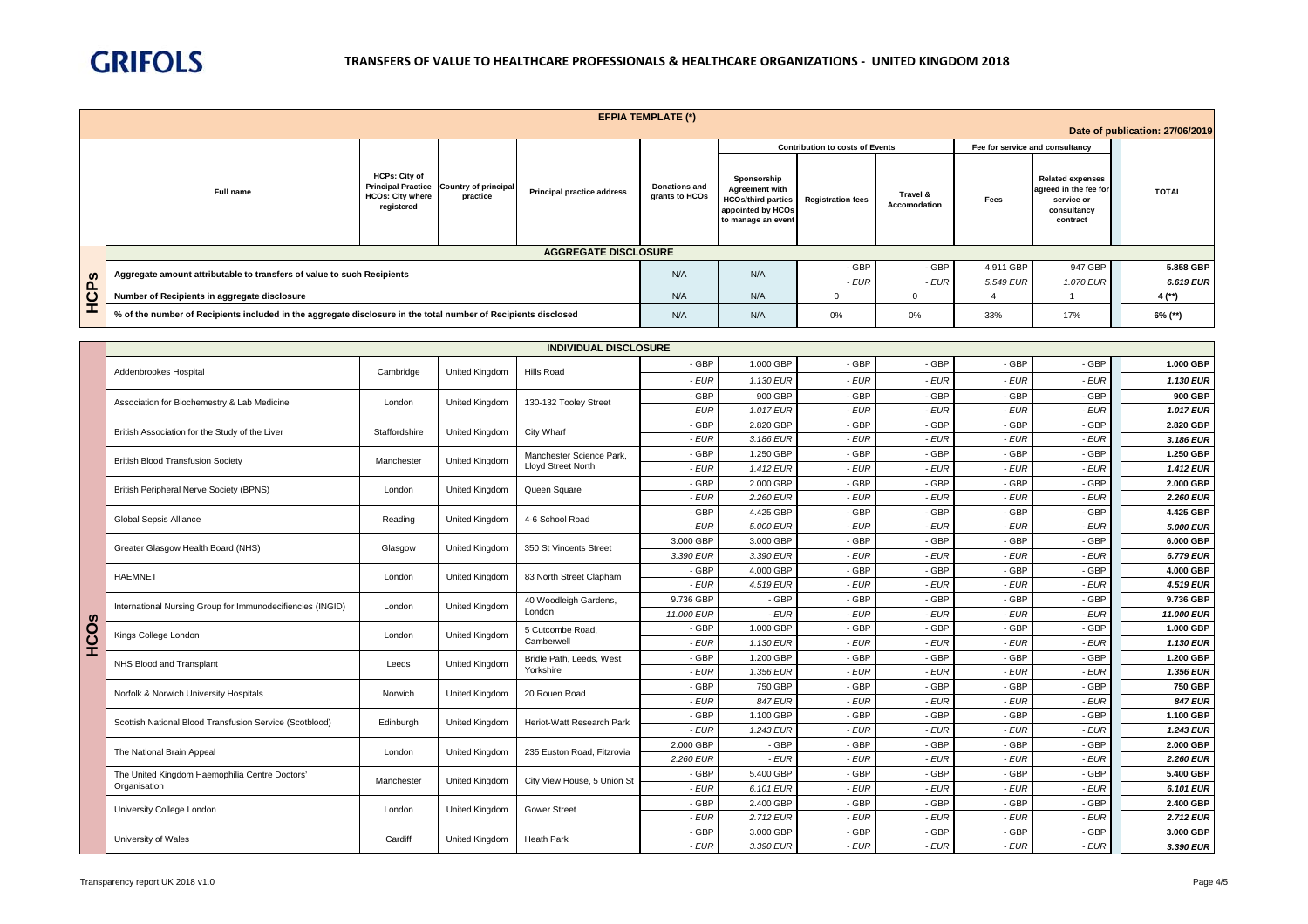

|              |                                                                                                                |                                                               |                                                     |                                   | <b>EFPIA TEMPLATE (*)</b>              |                                                                                                              |                                        |                          |                                 |                                                                                           |                                 |
|--------------|----------------------------------------------------------------------------------------------------------------|---------------------------------------------------------------|-----------------------------------------------------|-----------------------------------|----------------------------------------|--------------------------------------------------------------------------------------------------------------|----------------------------------------|--------------------------|---------------------------------|-------------------------------------------------------------------------------------------|---------------------------------|
|              |                                                                                                                |                                                               |                                                     |                                   |                                        |                                                                                                              |                                        |                          |                                 |                                                                                           | Date of publication: 27/06/2019 |
|              |                                                                                                                |                                                               |                                                     |                                   |                                        |                                                                                                              | <b>Contribution to costs of Events</b> |                          | Fee for service and consultancy |                                                                                           |                                 |
|              | Full name                                                                                                      | <b>HCPs: City of</b><br><b>HCOs: City where</b><br>registered | Principal Practice Country of principal<br>practice | <b>Principal practice address</b> | <b>Donations and</b><br>grants to HCOs | Sponsorship<br><b>Agreement with</b><br><b>HCOs/third parties</b><br>appointed by HCOs<br>to manage an event | <b>Registration fees</b>               | Travel &<br>Accomodation | Fees                            | <b>Related expenses</b><br>agreed in the fee for<br>service or<br>consultancy<br>contract | <b>TOTAL</b>                    |
|              |                                                                                                                |                                                               |                                                     | <b>AGGREGATE DISCLOSURE</b>       |                                        |                                                                                                              |                                        |                          |                                 |                                                                                           |                                 |
|              | Aggregate amount attributable to transfers of value to such Recipients                                         |                                                               |                                                     |                                   | N/A                                    | N/A                                                                                                          | - GBP                                  | - GBP                    | 4.911 GBP                       | 947 GBP                                                                                   | 5.858 GBP                       |
| $\mathbf{a}$ |                                                                                                                |                                                               |                                                     |                                   |                                        |                                                                                                              | - EUR                                  | - EUR                    | 5.549 EUR                       | 1.070 EUR                                                                                 | 6.619 EUR                       |
| ပ            | Number of Recipients in aggregate disclosure                                                                   |                                                               |                                                     |                                   | N/A                                    | N/A                                                                                                          |                                        | 0                        |                                 |                                                                                           | $4$ (**)                        |
| <b>I</b>     | % of the number of Recipients included in the aggregate disclosure in the total number of Recipients disclosed |                                                               |                                                     |                                   | N/A                                    | N/A                                                                                                          | 0%                                     | 0%                       | 33%                             | 17%                                                                                       | $6\%$ (**)                      |

| <b>INDIVIDUAL DISCLOSURE</b> |                                                            |               |                                                |                             |            |                |        |        |        |           |                  |
|------------------------------|------------------------------------------------------------|---------------|------------------------------------------------|-----------------------------|------------|----------------|--------|--------|--------|-----------|------------------|
|                              | Addenbrookes Hospital                                      | Cambridge     | <b>United Kingdom</b>                          | Hills Road                  | - GBP      | 1.000 GBP      | - GBP  | - GBP  | - GBP  | - GBP     | 1.000 GBP        |
|                              |                                                            |               |                                                |                             | $-EUR$     | 1.130 EUR      | $-EUR$ | - EUR  | - EUR  | - EUR     | 1.130 EUR        |
|                              | Association for Biochemestry & Lab Medicine                | London        | United Kingdom                                 | 130-132 Tooley Street       | - GBP      | 900 GBP        | - GBP  | - GBP  | - GBP  | - GBP     | 900 GBP          |
|                              |                                                            |               |                                                |                             | - EUR      | 1.017 EUR      | - EUR  | - EUR  | - EUR  | - EUR     | 1.017 EUR        |
|                              | British Association for the Study of the Liver             | Staffordshire | United Kingdom                                 | City Wharf                  | - GBP      | 2.820 GBP      | - GBP  | - GBP  | - GBP  | - GBP     | 2.820 GBP        |
|                              |                                                            |               |                                                |                             | $-EUR$     | 3.186 EUR      | $-EUR$ | - EUR  | - EUR  | $-EUR$    | 3.186 EUR        |
|                              | <b>British Blood Transfusion Society</b>                   | Manchester    | <b>United Kingdom</b>                          | Manchester Science Park,    | - GBP      | 1.250 GBP      | - GBP  | - GBP  | - GBP  | - GBP     | 1.250 GBP        |
|                              |                                                            |               |                                                | <b>Lloyd Street North</b>   | - EUR      | 1.412 EUR      | - EUR  | - EUR  | - EUR  | - EUR     | <b>1.412 EUR</b> |
|                              | British Peripheral Nerve Society (BPNS)                    | London        | <b>United Kingdom</b>                          | Queen Square                | - GBP      | 2.000 GBP      | - GBP  | - GBP  | - GBP  | - GBP     | 2.000 GBP        |
|                              |                                                            |               |                                                |                             | $-EUR$     | 2.260 EUR      | $-EUR$ | $-EUR$ | - EUR  | $-EUR$    | 2.260 EUR        |
|                              | <b>Global Sepsis Alliance</b>                              | Reading       | United Kingdom                                 | 4-6 School Road             | - GBP      | 4.425 GBP      | - GBP  | - GBP  | - GBP  | - GBP     | 4.425 GBP        |
|                              |                                                            |               |                                                |                             | - EUR      | 5.000 EUR      | - EUR  | $-EUR$ | $-EUR$ | - EUR     | 5.000 EUR        |
|                              | Greater Glasgow Health Board (NHS)                         | Glasgow       | United Kingdom                                 | 350 St Vincents Street      | 3.000 GBP  | 3.000 GBP      | - GBP  | - GBP  | - GBP  | - GBP     | 6.000 GBP        |
|                              |                                                            |               |                                                | 83 North Street Clapham     | 3.390 EUR  | 3.390 EUR      | - EUR  | - EUR  | - EUR  | - EUR     | 6.779 EUR        |
|                              | <b>HAEMNET</b>                                             | London        | United Kingdom                                 |                             | - GBP      | 4.000 GBP      | - GBP  | - GBP  | - GBP  | - GBP     | 4.000 GBP        |
|                              |                                                            |               |                                                |                             | $-EUR$     | 4.519 EUR      | $-EUR$ | - EUR  | - EUR  | - EUR     | 4.519 EUR        |
|                              | International Nursing Group for Immunodecifiencies (INGID) | London        | 40 Woodleigh Gardens,<br><b>United Kingdom</b> | 9.736 GBP                   | - GBP      | - GBP          | - GBP  | - GBP  | - GBP  | 9.736 GBP |                  |
|                              |                                                            |               |                                                | London                      | 11,000 EUR | - EUR          | - EUR  | - EUR  | - EUR  | - EUR     | 11,000 EUR       |
| COS                          | Kings College London                                       | London        | United Kingdom                                 | 5 Cutcombe Road,            | - GBP      | 1.000 GBP      | - GBP  | - GBP  | - GBP  | - GBP     | 1.000 GBP        |
| I                            |                                                            |               |                                                | Camberwell                  | - EUR      | 1.130 EUR      | - EUR  | - EUR  | - EUR  | - EUR     | 1.130 EUR        |
|                              | NHS Blood and Transplant                                   | Leeds         | United Kingdom                                 | Bridle Path, Leeds, West    | - GBP      | 1.200 GBP      | - GBP  | - GBP  | - GBP  | - GBP     | 1.200 GBP        |
|                              |                                                            |               |                                                | Yorkshire                   | $-EUR$     | 1.356 EUR      | - EUR  | $-EUR$ | - EUR  | - EUR     | 1.356 EUR        |
|                              | Norfolk & Norwich University Hospitals                     | Norwich       | United Kingdom                                 | 20 Rouen Road               | - GBP      | 750 GBP        | - GBP  | - GBP  | - GBP  | - GBP     | 750 GBP          |
|                              |                                                            |               |                                                |                             | $-EUR$     | <b>847 EUR</b> | $-EUR$ | - EUR  | - EUR  | - EUR     | <b>847 EUR</b>   |
|                              | Scottish National Blood Transfusion Service (Scotblood)    | Edinburgh     | United Kingdom                                 | Heriot-Watt Research Park   | - GBP      | 1.100 GBP      | - GBP  | - GBP  | - GBP  | - GBP     | 1.100 GBP        |
|                              |                                                            |               |                                                |                             | $-EUR$     | 1.243 EUR      | $-EUR$ | $-EUR$ | - EUR  | - EUR     | 1.243 EUR        |
|                              | The National Brain Appeal                                  | London        | United Kingdom                                 | 235 Euston Road, Fitzrovia  | 2.000 GBP  | - GBP          | - GBP  | - GBP  | - GBP  | - GBP     | 2.000 GBP        |
|                              |                                                            |               |                                                |                             | 2.260 EUR  | - EUR          | - EUR  | - EUR  | - EUR  | $-EUR$    | 2.260 EUR        |
|                              | The United Kingdom Haemophilia Centre Doctors'             | Manchester    | United Kingdom                                 | City View House, 5 Union St | - GBP      | 5.400 GBP      | - GBP  | - GBP  | - GBP  | - GBP     | 5.400 GBP        |
|                              | Organisation                                               |               |                                                |                             | $-EUR$     | 6.101 EUR      | $-EUR$ | $-EUR$ | $-EUR$ | - EUR     | 6.101 EUR        |
|                              | University College London                                  | London        | United Kingdom                                 | <b>Gower Street</b>         | - GBP      | 2.400 GBP      | - GBP  | - GBP  | - GBP  | - GBP     | 2.400 GBP        |
|                              |                                                            |               |                                                |                             | $-EUR$     | 2.712 EUR      | $-EUR$ | - EUR  | - EUR  | $-EUR$    | 2.712 EUR        |
|                              | University of Wales                                        | Cardiff       | United Kingdom                                 | Heath Park                  | - GBP      | 3.000 GBP      | - GBP  | - GBP  | - GBP  | - GBP     | 3.000 GBP        |
|                              |                                                            |               |                                                |                             | - EUR      | 3.390 EUR      | - EUR  | - EUR  | - EUR  | - EUR     | 3.390 EUR        |